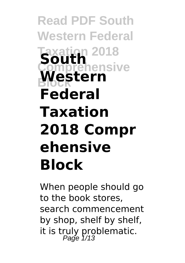**Read PDF South Western Federal Taxation 2018 South Comprehensive** Western **Federal Taxation 2018 Compr ehensive Block**

When people should go to the book stores, search commencement by shop, shelf by shelf, it is truly problematic.<br>Page  $\frac{1}{13}$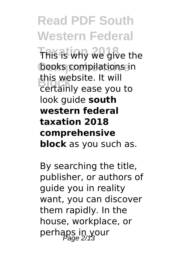**Read PDF South Western Federal This is why we give the** books compilations in **Block** certainly ease you to this website. It will look guide **south western federal taxation 2018 comprehensive block** as you such as.

By searching the title, publisher, or authors of guide you in reality want, you can discover them rapidly. In the house, workplace, or perhaps in your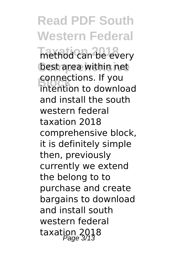## **Read PDF South Western Federal**

method can be every best area within net **Connections. If you**<br>
intention to downlo intention to download and install the south western federal taxation 2018 comprehensive block, it is definitely simple then, previously currently we extend the belong to to purchase and create bargains to download and install south western federal taxation 2018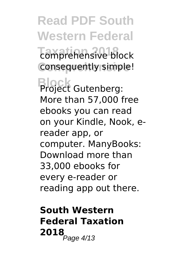**Read PDF South Western Federal Taxation 2018** comprehensive block **Consequently simple!** 

**Block** Project Gutenberg: More than 57,000 free ebooks you can read on your Kindle, Nook, ereader app, or computer. ManyBooks: Download more than 33,000 ebooks for every e-reader or reading app out there.

## **South Western Federal Taxation 2018**<br>Page 4/13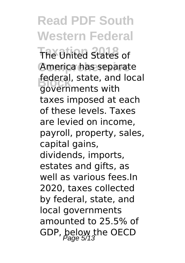**Read PDF South Western Federal The United States of** America has separate federal, state, and local<br>Rovernments with governments with taxes imposed at each of these levels. Taxes are levied on income, payroll, property, sales, capital gains, dividends, imports, estates and gifts, as well as various fees.In 2020, taxes collected by federal, state, and local governments amounted to 25.5% of GDP, below the OECD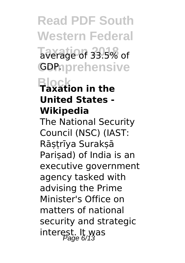**Read PDF South Western Federal Taxation 2018** average of 33.5% of GDPnprehensive

## **Block Taxation in the United States - Wikipedia**

The National Security Council (NSC) (IAST: Rāṣṭrīya Surakṣā Pariṣad) of India is an executive government agency tasked with advising the Prime Minister's Office on matters of national security and strategic interest. It was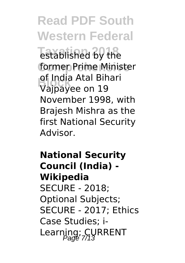**Read PDF South Western Federal** established by the former Prime Minister **Block** Vajpayee on 19 of India Atal Bihari November 1998, with Brajesh Mishra as the first National Security Advisor.

**National Security Council (India) - Wikipedia** SECURE - 2018; Optional Subjects; SECURE - 2017; Ethics Case Studies; i-Learning; CURRENT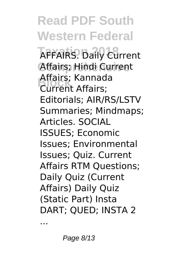**Read PDF South Western Federal AFFAIRS. Daily Current** Affairs; Hindi Current **Block** Current Affairs; Affairs; Kannada Editorials; AIR/RS/LSTV Summaries; Mindmaps; Articles. SOCIAL ISSUES; Economic Issues; Environmental Issues; Quiz. Current Affairs RTM Questions; Daily Quiz (Current Affairs) Daily Quiz (Static Part) Insta DART; QUED; INSTA 2

...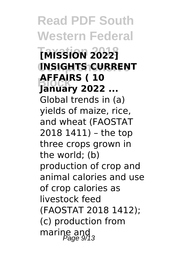**Read PDF South Western Federal Taxation 2018 [MISSION 2022] Comprehensive INSIGHTS CURRENT Block January 2022 ... AFFAIRS ( 10** Global trends in (a) yields of maize, rice, and wheat (FAOSTAT 2018 1411) – the top three crops grown in the world; (b) production of crop and animal calories and use of crop calories as livestock feed (FAOSTAT 2018 1412); (c) production from marine and  $\frac{1}{2}$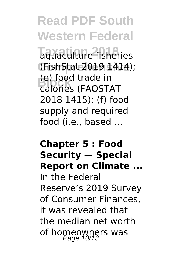**Read PDF South Western Federal Taquaculture fisheries Comprehensive** (FishStat 2019 1414); **(e)** food trade in<br>Calories (EAOST) calories (FAOSTAT 2018 1415); (f) food supply and required food (i.e., based ...

**Chapter 5 : Food Security — Special Report on Climate ...** In the Federal Reserve's 2019 Survey of Consumer Finances, it was revealed that the median net worth of homeowners was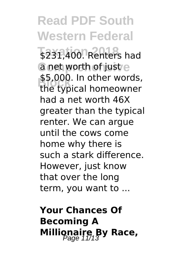**Read PDF South Western Federal** \$231,400. Renters had a net worth of just e \$5,000. In other words,<br>the typical homeowner the typical homeowner had a net worth 46X greater than the typical renter. We can argue until the cows come home why there is such a stark difference. However, just know that over the long term, you want to ...

**Your Chances Of Becoming A Millionaire By Race,**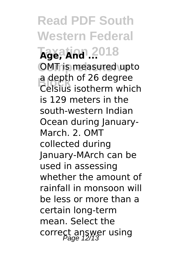**Read PDF South Western Federal**  $\text{Age, And.}2018$ **CMT** is measured upto a depth of 26 degree<br>Celsius isotherm which a depth of 26 degree is 129 meters in the south-western Indian Ocean during January-March. 2. OMT collected during January-MArch can be used in assessing whether the amount of rainfall in monsoon will be less or more than a certain long-term mean. Select the correct answer using